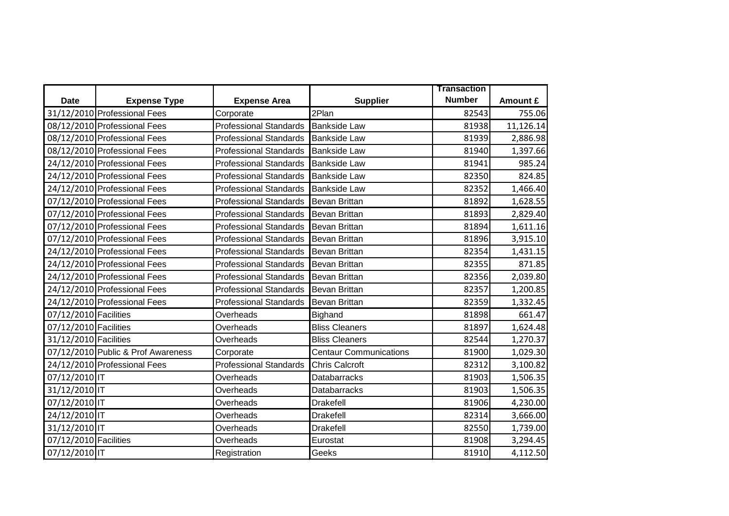|                       |                                    |                               |                               | <b>Transaction</b> |           |
|-----------------------|------------------------------------|-------------------------------|-------------------------------|--------------------|-----------|
| <b>Date</b>           | <b>Expense Type</b>                | <b>Expense Area</b>           | <b>Supplier</b>               | <b>Number</b>      | Amount £  |
|                       | 31/12/2010 Professional Fees       | Corporate                     | 2Plan                         | 82543              | 755.06    |
|                       | 08/12/2010 Professional Fees       | <b>Professional Standards</b> | <b>Bankside Law</b>           | 81938              | 11,126.14 |
|                       | 08/12/2010 Professional Fees       | <b>Professional Standards</b> | <b>Bankside Law</b>           | 81939              | 2,886.98  |
|                       | 08/12/2010 Professional Fees       | <b>Professional Standards</b> | <b>Bankside Law</b>           | 81940              | 1,397.66  |
|                       | 24/12/2010 Professional Fees       | <b>Professional Standards</b> | <b>Bankside Law</b>           | 81941              | 985.24    |
|                       | 24/12/2010 Professional Fees       | <b>Professional Standards</b> | <b>Bankside Law</b>           | 82350              | 824.85    |
|                       | 24/12/2010 Professional Fees       | <b>Professional Standards</b> | <b>Bankside Law</b>           | 82352              | 1,466.40  |
|                       | 07/12/2010 Professional Fees       | <b>Professional Standards</b> | Bevan Brittan                 | 81892              | 1,628.55  |
|                       | 07/12/2010 Professional Fees       | <b>Professional Standards</b> | <b>Bevan Brittan</b>          | 81893              | 2,829.40  |
|                       | 07/12/2010 Professional Fees       | <b>Professional Standards</b> | <b>Bevan Brittan</b>          | 81894              | 1,611.16  |
|                       | 07/12/2010 Professional Fees       | <b>Professional Standards</b> | <b>Bevan Brittan</b>          | 81896              | 3,915.10  |
|                       | 24/12/2010 Professional Fees       | <b>Professional Standards</b> | <b>Bevan Brittan</b>          | 82354              | 1,431.15  |
|                       | 24/12/2010 Professional Fees       | <b>Professional Standards</b> | <b>Bevan Brittan</b>          | 82355              | 871.85    |
|                       | 24/12/2010 Professional Fees       | <b>Professional Standards</b> | <b>Bevan Brittan</b>          | 82356              | 2,039.80  |
|                       | 24/12/2010 Professional Fees       | <b>Professional Standards</b> | <b>Bevan Brittan</b>          | 82357              | 1,200.85  |
|                       | 24/12/2010 Professional Fees       | <b>Professional Standards</b> | <b>Bevan Brittan</b>          | 82359              | 1,332.45  |
| 07/12/2010 Facilities |                                    | Overheads                     | Bighand                       | 81898              | 661.47    |
| 07/12/2010 Facilities |                                    | Overheads                     | <b>Bliss Cleaners</b>         | 81897              | 1,624.48  |
| 31/12/2010 Facilities |                                    | Overheads                     | <b>Bliss Cleaners</b>         | 82544              | 1,270.37  |
|                       | 07/12/2010 Public & Prof Awareness | Corporate                     | <b>Centaur Communications</b> | 81900              | 1,029.30  |
|                       | 24/12/2010 Professional Fees       | <b>Professional Standards</b> | <b>Chris Calcroft</b>         | 82312              | 3,100.82  |
| 07/12/2010 IT         |                                    | Overheads                     | <b>Databarracks</b>           | 81903              | 1,506.35  |
| 31/12/2010 IT         |                                    | Overheads                     | <b>Databarracks</b>           | 81903              | 1,506.35  |
| 07/12/2010 IT         |                                    | Overheads                     | <b>Drakefell</b>              | 81906              | 4,230.00  |
| 24/12/2010 IT         |                                    | Overheads                     | <b>Drakefell</b>              | 82314              | 3,666.00  |
| 31/12/2010 IT         |                                    | Overheads                     | <b>Drakefell</b>              | 82550              | 1,739.00  |
| 07/12/2010 Facilities |                                    | Overheads                     | Eurostat                      | 81908              | 3,294.45  |
| 07/12/2010 IT         |                                    | Registration                  | Geeks                         | 81910              | 4,112.50  |